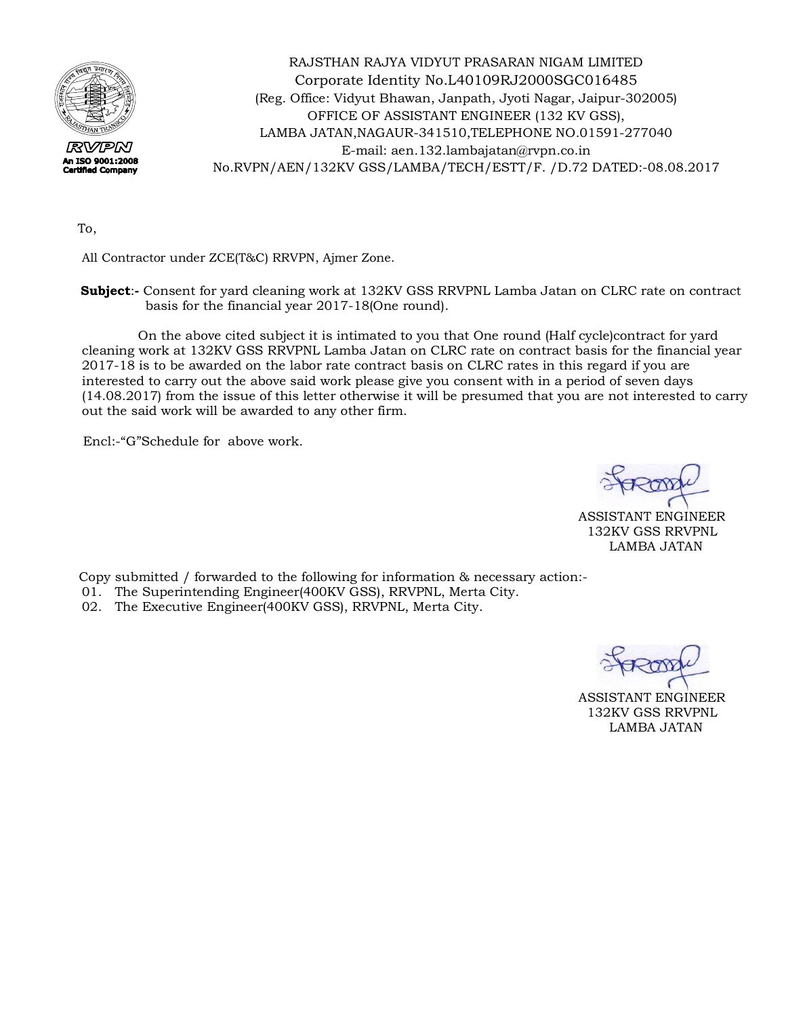

RAJSTHAN RAJYA VIDYUT PRASARAN NIGAM LIMITED Corporate Identity No.L40109RJ2000SGC016485 (Reg. Office: Vidyut Bhawan, Janpath, Jyoti Nagar, Jaipur-302005) OFFICE OF ASSISTANT ENGINEER (132 KV GSS), LAMBA JATAN,NAGAUR-341510,TELEPHONE NO.01591-277040 E-mail: [aen.132.lambajatan@rvpn.co.in](mailto:aen.132.lambajatan@rvpn.co.in)  No.RVPN/AEN/132KV GSS/LAMBA/TECH/ESTT/F. /D.72 DATED:-08.08.2017

To,

All Contractor under ZCE(T&C) RRVPN, Ajmer Zone.

 **Subject**:**-** Consent for yard cleaning work at 132KV GSS RRVPNL Lamba Jatan on CLRC rate on contract basis for the financial year 2017-18(One round).

 On the above cited subject it is intimated to you that One round (Half cycle)contract for yard cleaning work at 132KV GSS RRVPNL Lamba Jatan on CLRC rate on contract basis for the financial year 2017-18 is to be awarded on the labor rate contract basis on CLRC rates in this regard if you are interested to carry out the above said work please give you consent with in a period of seven days (14.08.2017) from the issue of this letter otherwise it will be presumed that you are not interested to carry out the said work will be awarded to any other firm.

Encl:-"G"Schedule for above work.

ASSISTANT ENGINEER 132KV GSS RRVPNL LAMBA JATAN

Copy submitted / forwarded to the following for information & necessary action:-

- 01. The Superintending Engineer(400KV GSS), RRVPNL, Merta City.
- 02. The Executive Engineer(400KV GSS), RRVPNL, Merta City.

ASSISTANT ENGINEER 132KV GSS RRVPNL LAMBA JATAN